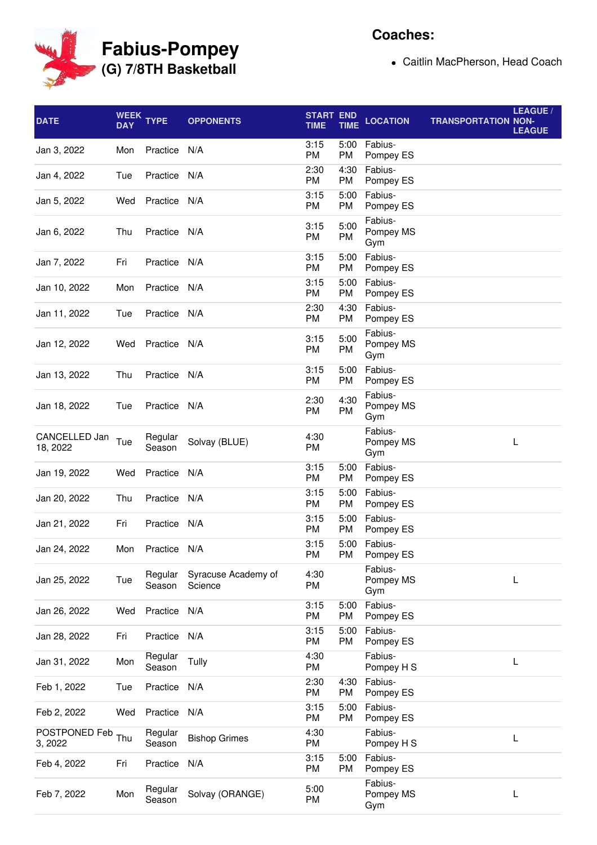

## **Coaches:**

Caitlin MacPherson, Head Coach

| <b>DATE</b>               | <b>WEEK</b><br><b>DAY</b> | <b>TYPE</b>       | <b>OPPONENTS</b>               | <b>START</b><br><b>TIME</b> | <b>END</b><br><b>TIME</b> | <b>LOCATION</b>             | <b>TRANSPORTATION NON-</b> | LEAGUE /<br><b>LEAGUE</b> |
|---------------------------|---------------------------|-------------------|--------------------------------|-----------------------------|---------------------------|-----------------------------|----------------------------|---------------------------|
| Jan 3, 2022               | Mon                       | Practice          | N/A                            | 3:15<br>PM                  | 5:00<br>PM                | Fabius-<br>Pompey ES        |                            |                           |
| Jan 4, 2022               | Tue                       | Practice          | N/A                            | 2:30<br>PM                  | 4:30<br>PM                | Fabius-<br>Pompey ES        |                            |                           |
| Jan 5, 2022               | Wed                       | Practice          | N/A                            | 3:15<br>PM                  | 5:00<br>PM                | Fabius-<br>Pompey ES        |                            |                           |
| Jan 6, 2022               | Thu                       | Practice          | N/A                            | 3:15<br>PM                  | 5:00<br>PM                | Fabius-<br>Pompey MS<br>Gym |                            |                           |
| Jan 7, 2022               | Fri                       | Practice          | N/A                            | 3:15<br>PM                  | 5:00<br>PM                | Fabius-<br>Pompey ES        |                            |                           |
| Jan 10, 2022              | Mon                       | Practice          | N/A                            | 3:15<br>PM                  | 5:00<br>PM                | Fabius-<br>Pompey ES        |                            |                           |
| Jan 11, 2022              | Tue                       | Practice          | N/A                            | 2:30<br>PM                  | 4:30<br>PM                | Fabius-<br>Pompey ES        |                            |                           |
| Jan 12, 2022              | Wed                       | Practice          | N/A                            | 3:15<br>PM                  | 5:00<br>PM                | Fabius-<br>Pompey MS<br>Gym |                            |                           |
| Jan 13, 2022              | Thu                       | Practice          | N/A                            | 3:15<br>PM                  | 5:00<br>PM                | Fabius-<br>Pompey ES        |                            |                           |
| Jan 18, 2022              | Tue                       | Practice N/A      |                                | 2:30<br>PM                  | 4:30<br>PM                | Fabius-<br>Pompey MS<br>Gym |                            |                           |
| CANCELLED Jan<br>18, 2022 | Tue                       | Regular<br>Season | Solvay (BLUE)                  | 4:30<br>PM                  |                           | Fabius-<br>Pompey MS<br>Gym |                            | L                         |
| Jan 19, 2022              | Wed                       | Practice          | N/A                            | 3:15<br>PM                  | 5:00<br>PM                | Fabius-<br>Pompey ES        |                            |                           |
| Jan 20, 2022              | Thu                       | Practice          | N/A                            | 3:15<br>PM                  | 5:00<br>PM                | Fabius-<br>Pompey ES        |                            |                           |
| Jan 21, 2022              | Fri                       | Practice          | N/A                            | 3:15<br>PM                  | 5:00<br>PM                | Fabius-<br>Pompey ES        |                            |                           |
| Jan 24, 2022              |                           | Mon Practice N/A  |                                | 3:15<br>PM                  | PM                        | 5:00 Fabius-<br>Pompey ES   |                            |                           |
| Jan 25, 2022              | Tue                       | Regular<br>Season | Syracuse Academy of<br>Science | 4:30<br>PM                  |                           | Fabius-<br>Pompey MS<br>Gym |                            | L                         |
| Jan 26, 2022              | Wed                       | Practice          | N/A                            | 3:15<br>PM                  | 5:00<br>PM                | Fabius-<br>Pompey ES        |                            |                           |
| Jan 28, 2022              | Fri                       | Practice          | N/A                            | 3:15<br>PM                  | 5:00<br>PM                | Fabius-<br>Pompey ES        |                            |                           |
| Jan 31, 2022              | Mon                       | Regular<br>Season | Tully                          | 4:30<br>PM                  |                           | Fabius-<br>Pompey H S       |                            | L                         |
| Feb 1, 2022               | Tue                       | Practice          | N/A                            | 2:30<br>PM                  | 4:30<br>PM                | Fabius-<br>Pompey ES        |                            |                           |
| Feb 2, 2022               | Wed                       | Practice          | N/A                            | 3:15<br>PM                  | 5:00<br>PM                | Fabius-<br>Pompey ES        |                            |                           |
| POSTPONED Feb<br>3, 2022  | Thu                       | Regular<br>Season | <b>Bishop Grimes</b>           | 4:30<br>PM                  |                           | Fabius-<br>Pompey H S       |                            | L                         |
| Feb 4, 2022               | Fri                       | Practice          | N/A                            | 3:15<br>PM                  | 5:00<br>PM                | Fabius-<br>Pompey ES        |                            |                           |
| Feb 7, 2022               | Mon                       | Regular<br>Season | Solvay (ORANGE)                | 5:00<br>PM                  |                           | Fabius-<br>Pompey MS<br>Gym |                            | L                         |